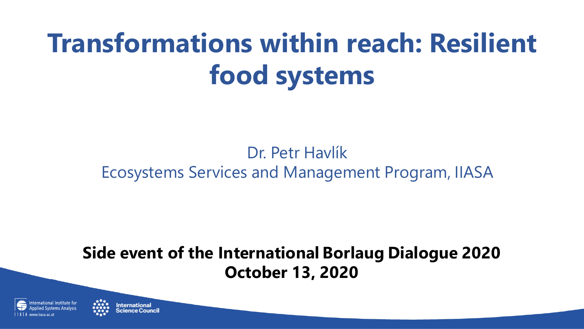## **Transformations within reach: Resilient food systems**

### Dr. Petr Havlík Ecosystems Services and Management Program, IIASA

### **Side event of the International Borlaug Dialogue 2020 October 13, 2020**



nternational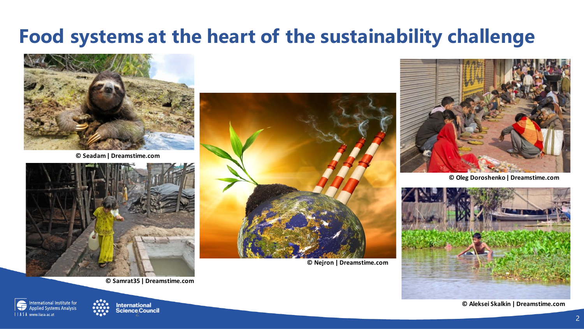### **Food systems at the heart of the sustainability challenge**



**© Seadam| Dreamstime.com**







**© Nejron | Dreamstime.com**



**© Oleg Doroshenko| Dreamstime.com**



**© Aleksei Skalkin | Dreamstime.com**

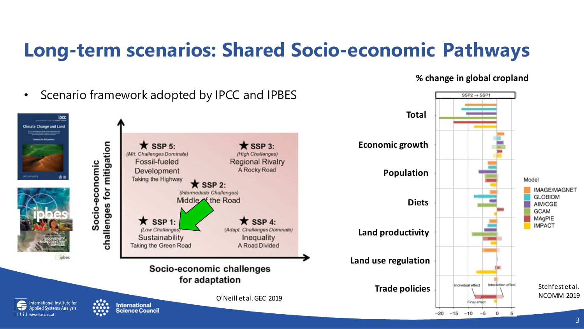### **Long-term scenarios: Shared Socio-economic Pathways**

**% change in global cropland**

 $SSP2 \rightarrow SSP1$ 

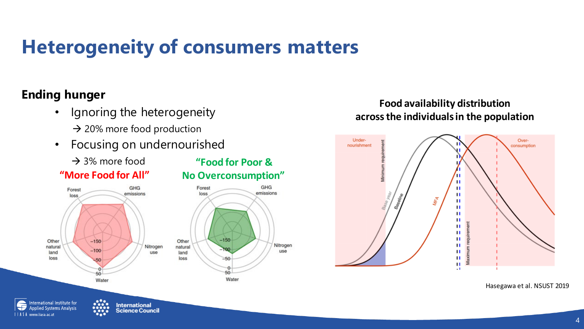### **Heterogeneity of consumers matters**

#### **Ending hunger**

Forest

loss

- Ignoring the heterogeneity  $\rightarrow$  20% more food production
- Focusing on undernourished
	- $\rightarrow$  3% more food



**"Food for Poor &**

use

#### **Food availability distribution across the individuals in the population**



Hasegawa et al. NSUST 2019

nternational Institute for **Applied Systems Analysis** | | A S A www.iiasa.ac.at

Other

natural

land

loss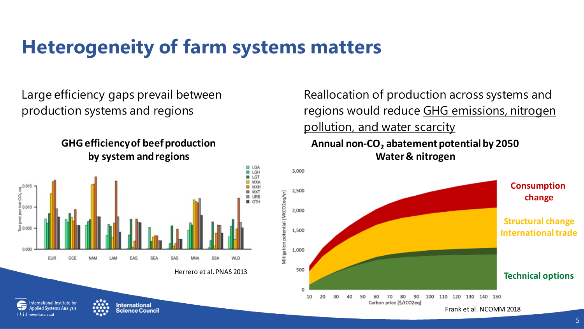### **Heterogeneity of farm systems matters**

Large efficiency gaps prevail between production systems and regions





**International** 

Science Council

 $\frac{1}{2}$ 

ternational Institute for

polied Systems Analysis

Reallocation of production across systems and regions would reduce GHG emissions, nitrogen pollution, and water scarcity

#### **Annual non-CO2 abatement potential by 2050 Water & nitrogen**

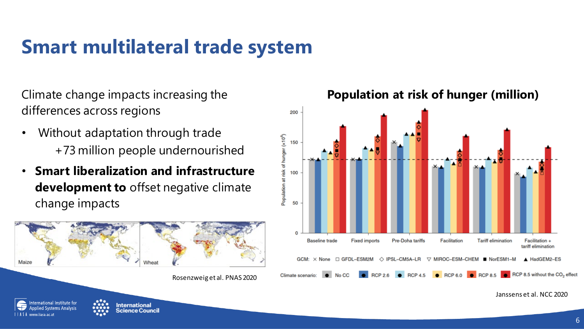### **Smart multilateral trade system**

Climate change impacts increasing the differences across regions

- Without adaptation through trade +73 million people undernourished
- **Smart liberalization and infrastructure development to** offset negative climate change impacts



#### **Population at risk of hunger (million)**



Janssens et al. NCC 2020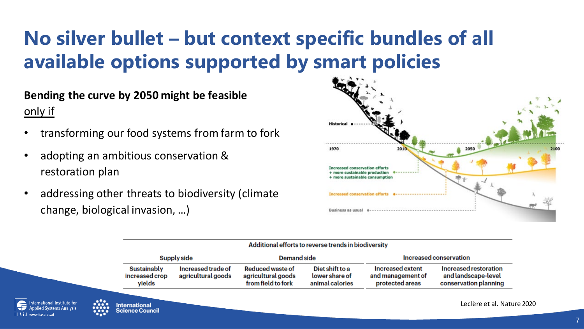### **No silver bullet – but context specific bundles of all available options supported by smart policies**

**Bending the curve by 2050 might be feasible**  only if

- transforming our food systems from farm to fork
- adopting an ambitious conservation & restoration plan
- addressing other threats to biodiversity (climate change, biological invasion, …)



| Supply side                                    |                                          | <b>Demand side</b>                                           |                                                      | Increased conservation                                   |                                                                       |
|------------------------------------------------|------------------------------------------|--------------------------------------------------------------|------------------------------------------------------|----------------------------------------------------------|-----------------------------------------------------------------------|
| <b>Sustainably</b><br>increased crop<br>yields | Increased trade of<br>agricultural goods | Reduced waste of<br>agricultural goods<br>from field to fork | Diet shift to a<br>lower share of<br>animal calories | Increased extent<br>and management of<br>protected areas | Increased restoration<br>and landscape-level<br>conservation planning |



Leclère et al. Nature 2020